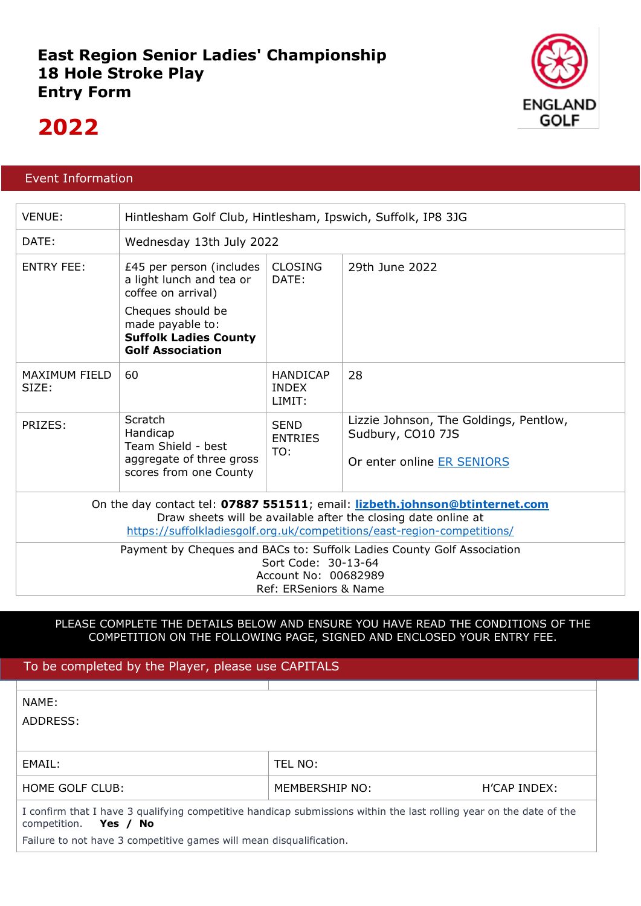### **East Region Senior Ladies' Championship 18 Hole Stroke Play Entry Form**



## **2022**

### Event Information

| <b>VENUE:</b>                                                                                                                                                                                                            | Hintlesham Golf Club, Hintlesham, Ipswich, Suffolk, IP8 3JG                                      |                                           |                                                                                           |  |  |  |
|--------------------------------------------------------------------------------------------------------------------------------------------------------------------------------------------------------------------------|--------------------------------------------------------------------------------------------------|-------------------------------------------|-------------------------------------------------------------------------------------------|--|--|--|
| DATE:                                                                                                                                                                                                                    | Wednesday 13th July 2022                                                                         |                                           |                                                                                           |  |  |  |
| <b>ENTRY FEE:</b>                                                                                                                                                                                                        | £45 per person (includes<br>a light lunch and tea or<br>coffee on arrival)                       | <b>CLOSING</b><br>DATE:                   | 29th June 2022                                                                            |  |  |  |
|                                                                                                                                                                                                                          | Cheques should be<br>made payable to:<br><b>Suffolk Ladies County</b><br><b>Golf Association</b> |                                           |                                                                                           |  |  |  |
| <b>MAXIMUM FIELD</b><br>SIZE:                                                                                                                                                                                            | 60                                                                                               | <b>HANDICAP</b><br><b>INDEX</b><br>LIMIT: | 28                                                                                        |  |  |  |
| PRIZES:                                                                                                                                                                                                                  | Scratch<br>Handicap<br>Team Shield - best<br>aggregate of three gross<br>scores from one County  | <b>SEND</b><br><b>ENTRIES</b><br>TO:      | Lizzie Johnson, The Goldings, Pentlow,<br>Sudbury, CO10 7JS<br>Or enter online ER SENIORS |  |  |  |
| On the day contact tel: 07887 551511; email: lizbeth.johnson@btinternet.com<br>Draw sheets will be available after the closing date online at<br>https://suffolkladiesgolf.org.uk/competitions/east-region-competitions/ |                                                                                                  |                                           |                                                                                           |  |  |  |
| Payment by Cheques and BACs to: Suffolk Ladies County Golf Association<br>Sort Code: 30-13-64<br>Account No: 00682989<br>Ref: ERSeniors & Name                                                                           |                                                                                                  |                                           |                                                                                           |  |  |  |

### PLEASE COMPLETE THE DETAILS BELOW AND ENSURE YOU HAVE READ THE CONDITIONS OF THE COMPETITION ON THE FOLLOWING PAGE, SIGNED AND ENCLOSED YOUR ENTRY FEE.

| To be completed by the Player, please use CAPITALS                                                                                              |                |              |  |  |  |
|-------------------------------------------------------------------------------------------------------------------------------------------------|----------------|--------------|--|--|--|
| NAME:<br>ADDRESS:                                                                                                                               |                |              |  |  |  |
| EMAIL:                                                                                                                                          | TEL NO:        |              |  |  |  |
| HOME GOLF CLUB:                                                                                                                                 | MEMBERSHIP NO: | H'CAP INDEX: |  |  |  |
| I confirm that I have 3 qualifying competitive handicap submissions within the last rolling year on the date of the<br>competition.<br>Yes / No |                |              |  |  |  |
| Failure to not have 3 competitive games will mean disqualification.                                                                             |                |              |  |  |  |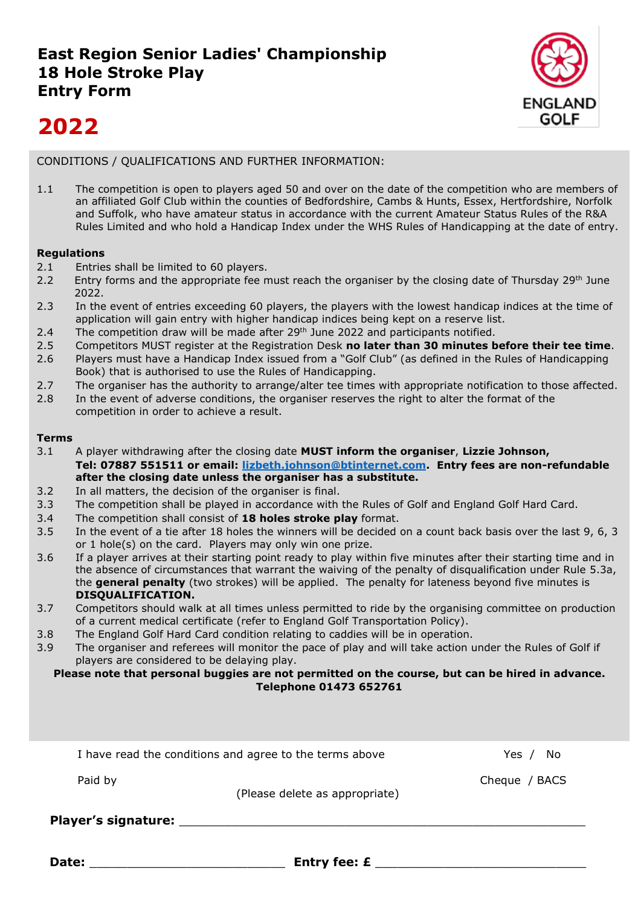

# **2022**

### CONDITIONS / QUALIFICATIONS AND FURTHER INFORMATION:

1.1 The competition is open to players aged 50 and over on the date of the competition who are members of an affiliated Golf Club within the counties of Bedfordshire, Cambs & Hunts, Essex, Hertfordshire, Norfolk and Suffolk, who have amateur status in accordance with the current Amateur Status Rules of the R&A Rules Limited and who hold a Handicap Index under the WHS Rules of Handicapping at the date of entry.

### **Regulations**

- 2.1 Entries shall be limited to 60 players.
- 2.2 Entry forms and the appropriate fee must reach the organiser by the closing date of Thursday 29<sup>th</sup> June 2022.
- 2.3 In the event of entries exceeding 60 players, the players with the lowest handicap indices at the time of application will gain entry with higher handicap indices being kept on a reserve list.
- 2.4 The competition draw will be made after  $29<sup>th</sup>$  June 2022 and participants notified.
- 2.5 Competitors MUST register at the Registration Desk **no later than 30 minutes before their tee time**.
- 2.6 Players must have a Handicap Index issued from a "Golf Club" (as defined in the Rules of Handicapping Book) that is authorised to use the Rules of Handicapping.
- 2.7 The organiser has the authority to arrange/alter tee times with appropriate notification to those affected.
- 2.8 In the event of adverse conditions, the organiser reserves the right to alter the format of the competition in order to achieve a result.

### **Terms**

- 3.1 A player withdrawing after the closing date **MUST inform the organiser**, **Lizzie Johnson, Tel: 07887 551511 or email: [lizbeth.johnson@btinternet.com.](mailto:lizbeth.johnson@btinternet.com) Entry fees are non-refundable after the closing date unless the organiser has a substitute.**
- 3.2 In all matters, the decision of the organiser is final.
- 3.3 The competition shall be played in accordance with the Rules of Golf and England Golf Hard Card.
- 3.4 The competition shall consist of **18 holes stroke play** format.
- 3.5 In the event of a tie after 18 holes the winners will be decided on a count back basis over the last 9, 6, 3 or 1 hole(s) on the card. Players may only win one prize.
- 3.6 If a player arrives at their starting point ready to play within five minutes after their starting time and in the absence of circumstances that warrant the waiving of the penalty of disqualification under Rule 5.3a, the **general penalty** (two strokes) will be applied. The penalty for lateness beyond five minutes is **DISQUALIFICATION.**
- 3.7 Competitors should walk at all times unless permitted to ride by the organising committee on production of a current medical certificate (refer to England Golf Transportation Policy).
- 3.8 The England Golf Hard Card condition relating to caddies will be in operation.
- 3.9 The organiser and referees will monitor the pace of play and will take action under the Rules of Golf if players are considered to be delaying play.

#### **Please note that personal buggies are not permitted on the course, but can be hired in advance. Telephone 01473 652761**

| Date:                                                   | <b>Entry fee: £</b>            |               |
|---------------------------------------------------------|--------------------------------|---------------|
| <b>Player's signature:</b>                              |                                |               |
| Paid by                                                 | (Please delete as appropriate) | Cheque / BACS |
| I have read the conditions and agree to the terms above | Yes $/$<br>No.                 |               |
|                                                         |                                |               |